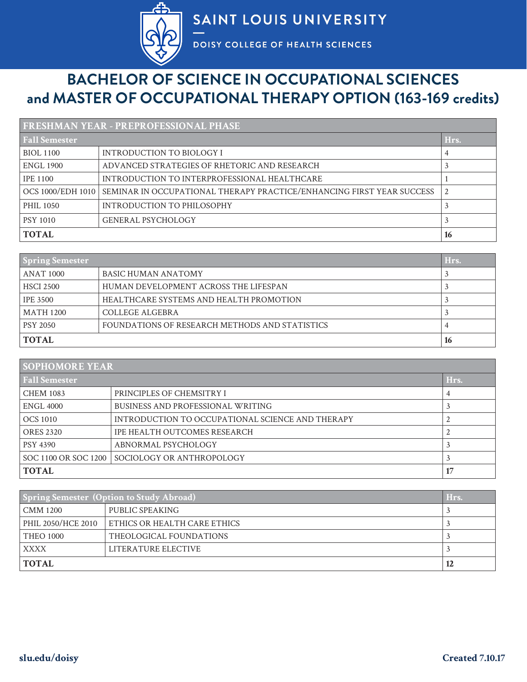

## **BACHELOR OF SCIENCE IN OCCUPATIONAL SCIENCES and MASTER OF OCCUPATIONAL THERAPY OPTION (163-169 credits)**

| <b>FRESHMAN YEAR - PREPROFESSIONAL PHASE</b> |                                                                                           |      |
|----------------------------------------------|-------------------------------------------------------------------------------------------|------|
| <b>Fall Semester</b>                         |                                                                                           | Hrs. |
| <b>BIOL 1100</b>                             | INTRODUCTION TO BIOLOGY I                                                                 |      |
| <b>ENGL 1900</b>                             | ADVANCED STRATEGIES OF RHETORIC AND RESEARCH                                              |      |
| <b>IPE 1100</b>                              | INTRODUCTION TO INTERPROFESSIONAL HEALTHCARE                                              |      |
|                                              | OCS 1000/EDH 1010   SEMINAR IN OCCUPATIONAL THERAPY PRACTICE/ENHANCING FIRST YEAR SUCCESS |      |
| <b>PHIL 1050</b>                             | INTRODUCTION TO PHILOSOPHY                                                                |      |
| <b>PSY 1010</b>                              | <b>GENERAL PSYCHOLOGY</b>                                                                 |      |
| <b>TOTAL</b>                                 |                                                                                           | 16   |

| <b>Spring Semester</b> |                                                | Hrs. |
|------------------------|------------------------------------------------|------|
| ANAT 1000              | <b>BASIC HUMAN ANATOMY</b>                     |      |
| <b>HSCI 2500</b>       | HUMAN DEVELOPMENT ACROSS THE LIFESPAN          |      |
| <b>IPE 3500</b>        | HEALTHCARE SYSTEMS AND HEALTH PROMOTION        |      |
| MATH 1200              | COLLEGE ALGEBRA                                |      |
| <b>PSY 2050</b>        | FOUNDATIONS OF RESEARCH METHODS AND STATISTICS |      |
| <b>TOTAL</b>           |                                                | 16   |

| <b>SOPHOMORE YEAR</b> |                                                  |      |
|-----------------------|--------------------------------------------------|------|
| <b>Fall Semester</b>  |                                                  | Hrs. |
| <b>CHEM 1083</b>      | PRINCIPLES OF CHEMSITRY I                        | 4    |
| ENGL 4000             | <b>BUSINESS AND PROFESSIONAL WRITING</b>         |      |
| OCS 1010              | INTRODUCTION TO OCCUPATIONAL SCIENCE AND THERAPY |      |
| <b>ORES 2320</b>      | IPE HEALTH OUTCOMES RESEARCH                     |      |
| <b>PSY 4390</b>       | ABNORMAL PSYCHOLOGY                              |      |
| SOC 1100 OR SOC 1200  | SOCIOLOGY OR ANTHROPOLOGY                        |      |
| <b>TOTAL</b>          |                                                  | 17   |

| <b>Spring Semester (Option to Study Abroad)</b> |                              | Hrs. |
|-------------------------------------------------|------------------------------|------|
| CMM 1200                                        | PUBLIC SPEAKING              |      |
| PHIL 2050/HCE 2010                              | ETHICS OR HEALTH CARE ETHICS |      |
| <b>THEO 1000</b>                                | THEOLOGICAL FOUNDATIONS      |      |
| XXXX                                            | LITERATURE ELECTIVE          |      |
| <b>TOTAL</b>                                    |                              | 12   |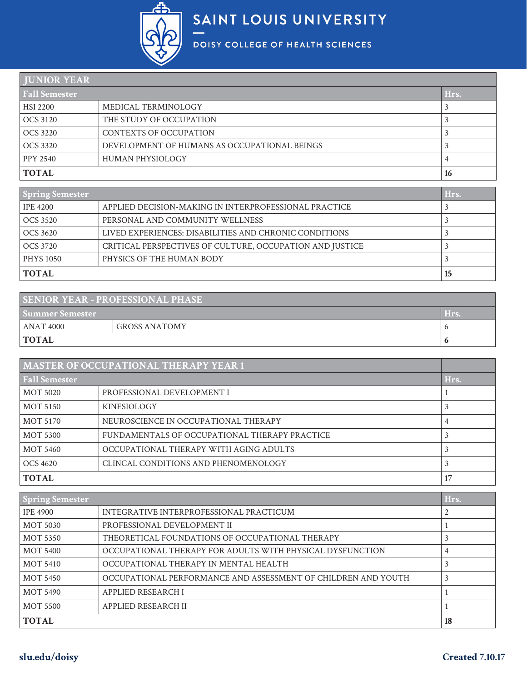

| <b>HUNIOR YEAR</b>                                       |                     |      |
|----------------------------------------------------------|---------------------|------|
| <b>Fall Semester</b>                                     |                     | Hrs. |
| HSI 2200                                                 | MEDICAL TERMINOLOGY |      |
| THE STUDY OF OCCUPATION<br>OCS 3120                      |                     |      |
| CONTEXTS OF OCCUPATION<br>OCS 3220                       |                     |      |
| DEVELOPMENT OF HUMANS AS OCCUPATIONAL BEINGS<br>OCS 3320 |                     |      |
| HUMAN PHYSIOLOGY<br>PPY 2540                             |                     |      |
| <b>TOTAL</b>                                             |                     | 16   |

| <b>Spring Semester</b> |                                                          | Hrs. |
|------------------------|----------------------------------------------------------|------|
| <b>IPE 4200</b>        | APPLIED DECISION-MAKING IN INTERPROFESSIONAL PRACTICE    |      |
| OCS 3520               | PERSONAL AND COMMUNITY WELLNESS                          |      |
| OCS 3620               | LIVED EXPERIENCES: DISABILITIES AND CHRONIC CONDITIONS   |      |
| OCS 3720               | CRITICAL PERSPECTIVES OF CULTURE, OCCUPATION AND JUSTICE |      |
| <b>PHYS 1050</b>       | PHYSICS OF THE HUMAN BODY                                |      |
| <b>TOTAL</b>           |                                                          | 15   |

| <b>SENIOR YEAR - PROFESSIONAL PHASE</b> |                      |      |
|-----------------------------------------|----------------------|------|
| <b>Summer Semester</b>                  |                      | Hrs. |
| ANAT 4000                               | <b>GROSS ANATOMY</b> |      |
| <b>TOTAL</b>                            |                      |      |

| <b>MASTER OF OCCUPATIONAL THERAPY YEAR 1</b> |                                               |      |
|----------------------------------------------|-----------------------------------------------|------|
| <b>Fall Semester</b>                         |                                               | Hrs. |
| <b>MOT 5020</b>                              | PROFESSIONAL DEVELOPMENT I                    |      |
| MOT 5150                                     | <b>KINESIOLOGY</b>                            |      |
| <b>MOT 5170</b>                              | NEUROSCIENCE IN OCCUPATIONAL THERAPY          |      |
| <b>MOT 5300</b>                              | FUNDAMENTALS OF OCCUPATIONAL THERAPY PRACTICE |      |
| <b>MOT 5460</b>                              | OCCUPATIONAL THERAPY WITH AGING ADULTS        |      |
| OCS 4620                                     | CLINCAL CONDITIONS AND PHENOMENOLOGY          |      |
| <b>TOTAL</b>                                 |                                               |      |

| <b>Spring Semester</b> |                                                               | Hrs. |
|------------------------|---------------------------------------------------------------|------|
| <b>IPE 4900</b>        | INTEGRATIVE INTERPROFESSIONAL PRACTICUM                       |      |
| <b>MOT 5030</b>        | PROFESSIONAL DEVELOPMENT II                                   |      |
| <b>MOT 5350</b>        | THEORETICAL FOUNDATIONS OF OCCUPATIONAL THERAPY               |      |
| <b>MOT 5400</b>        | OCCUPATIONAL THERAPY FOR ADULTS WITH PHYSICAL DYSFUNCTION     |      |
| <b>MOT 5410</b>        | OCCUPATIONAL THERAPY IN MENTAL HEALTH                         |      |
| <b>MOT 5450</b>        | OCCUPATIONAL PERFORMANCE AND ASSESSMENT OF CHILDREN AND YOUTH |      |
| MOT 5490               | APPLIED RESEARCH I                                            |      |
| <b>MOT 5500</b>        | APPLIED RESEARCH II                                           |      |
| <b>TOTAL</b>           |                                                               | 18   |